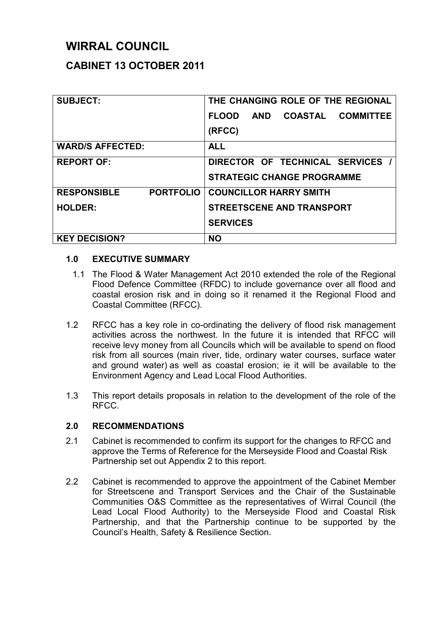# **WIRRAL COUNCIL**

## **CABINET 13 OCTOBER 2011**

| <b>SUBJECT:</b>                        | THE CHANGING ROLE OF THE REGIONAL                         |
|----------------------------------------|-----------------------------------------------------------|
|                                        | <b>COASTAL</b><br><b>COMMITTEE</b><br><b>FLOOD</b><br>AND |
|                                        | (RFCC)                                                    |
| <b>WARD/S AFFECTED:</b>                | <b>ALL</b>                                                |
| <b>REPORT OF:</b>                      | DIRECTOR OF TECHNICAL SERVICES                            |
|                                        | <b>STRATEGIC CHANGE PROGRAMME</b>                         |
| <b>PORTFOLIO</b><br><b>RESPONSIBLE</b> | <b>COUNCILLOR HARRY SMITH</b>                             |
| <b>HOLDER:</b>                         | <b>STREETSCENE AND TRANSPORT</b>                          |
|                                        | <b>SERVICES</b>                                           |
| <b>KEY DECISION?</b>                   | <b>NO</b>                                                 |

#### **1.0 EXECUTIVE SUMMARY**

- 1.1 The Flood & Water Management Act 2010 extended the role of the Regional Flood Defence Committee (RFDC) to include governance over all flood and coastal erosion risk and in doing so it renamed it the Regional Flood and Coastal Committee (RFCC).
- 1.2 RFCC has a key role in co-ordinating the delivery of flood risk management activities across the northwest. In the future it is intended that RFCC will receive levy money from all Councils which will be available to spend on flood risk from all sources (main river, tide, ordinary water courses, surface water and ground water) as well as coastal erosion; ie it will be available to the Environment Agency and Lead Local Flood Authorities.
- 1.3 This report details proposals in relation to the development of the role of the RFCC.

## **2.0 RECOMMENDATIONS**

- 2.1 Cabinet is recommended to confirm its support for the changes to RFCC and approve the Terms of Reference for the Merseyside Flood and Coastal Risk Partnership set out Appendix 2 to this report.
- 2.2 Cabinet is recommended to approve the appointment of the Cabinet Member for Streetscene and Transport Services and the Chair of the Sustainable Communities O&S Committee as the representatives of Wirral Council (the Lead Local Flood Authority) to the Merseyside Flood and Coastal Risk Partnership, and that the Partnership continue to be supported by the Council's Health, Safety & Resilience Section.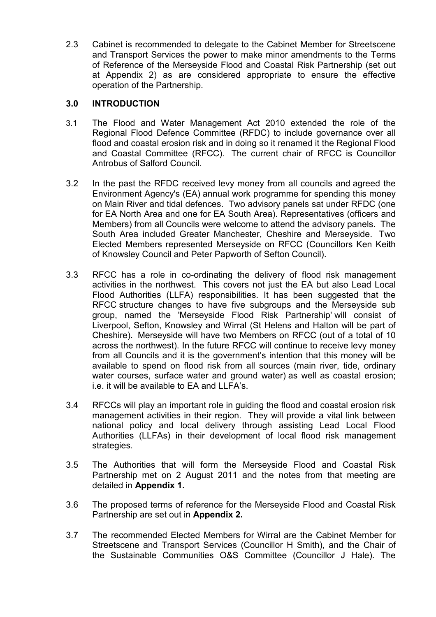2.3 Cabinet is recommended to delegate to the Cabinet Member for Streetscene and Transport Services the power to make minor amendments to the Terms of Reference of the Merseyside Flood and Coastal Risk Partnership (set out at Appendix 2) as are considered appropriate to ensure the effective operation of the Partnership.

## **3.0 INTRODUCTION**

- 3.1 The Flood and Water Management Act 2010 extended the role of the Regional Flood Defence Committee (RFDC) to include governance over all flood and coastal erosion risk and in doing so it renamed it the Regional Flood and Coastal Committee (RFCC). The current chair of RFCC is Councillor Antrobus of Salford Council.
- 3.2 In the past the RFDC received levy money from all councils and agreed the Environment Agency's (EA) annual work programme for spending this money on Main River and tidal defences. Two advisory panels sat under RFDC (one for EA North Area and one for EA South Area). Representatives (officers and Members) from all Councils were welcome to attend the advisory panels. The South Area included Greater Manchester, Cheshire and Merseyside. Two Elected Members represented Merseyside on RFCC (Councillors Ken Keith of Knowsley Council and Peter Papworth of Sefton Council).
- 3.3 RFCC has a role in co-ordinating the delivery of flood risk management activities in the northwest. This covers not just the EA but also Lead Local Flood Authorities (LLFA) responsibilities. It has been suggested that the RFCC structure changes to have five subgroups and the Merseyside sub group, named the 'Merseyside Flood Risk Partnership' will consist of Liverpool, Sefton, Knowsley and Wirral (St Helens and Halton will be part of Cheshire). Merseyside will have two Members on RFCC (out of a total of 10 across the northwest). In the future RFCC will continue to receive levy money from all Councils and it is the government's intention that this money will be available to spend on flood risk from all sources (main river, tide, ordinary water courses, surface water and ground water) as well as coastal erosion; i.e. it will be available to EA and LLFA's.
- 3.4 RFCCs will play an important role in guiding the flood and coastal erosion risk management activities in their region. They will provide a vital link between national policy and local delivery through assisting Lead Local Flood Authorities (LLFAs) in their development of local flood risk management strategies.
- 3.5 The Authorities that will form the Merseyside Flood and Coastal Risk Partnership met on 2 August 2011 and the notes from that meeting are detailed in **Appendix 1.**
- 3.6 The proposed terms of reference for the Merseyside Flood and Coastal Risk Partnership are set out in **Appendix 2.**
- 3.7 The recommended Elected Members for Wirral are the Cabinet Member for Streetscene and Transport Services (Councillor H Smith), and the Chair of the Sustainable Communities O&S Committee (Councillor J Hale). The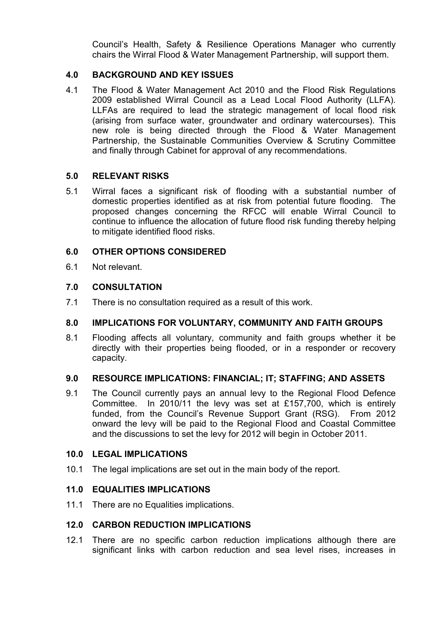Council's Health, Safety & Resilience Operations Manager who currently chairs the Wirral Flood & Water Management Partnership, will support them.

### **4.0 BACKGROUND AND KEY ISSUES**

4.1 The Flood & Water Management Act 2010 and the Flood Risk Regulations 2009 established Wirral Council as a Lead Local Flood Authority (LLFA). LLFAs are required to lead the strategic management of local flood risk (arising from surface water, groundwater and ordinary watercourses). This new role is being directed through the Flood & Water Management Partnership, the Sustainable Communities Overview & Scrutiny Committee and finally through Cabinet for approval of any recommendations.

#### **5.0 RELEVANT RISKS**

5.1 Wirral faces a significant risk of flooding with a substantial number of domestic properties identified as at risk from potential future flooding. The proposed changes concerning the RFCC will enable Wirral Council to continue to influence the allocation of future flood risk funding thereby helping to mitigate identified flood risks.

#### **6.0 OTHER OPTIONS CONSIDERED**

6.1 Not relevant.

#### **7.0 CONSULTATION**

7.1 There is no consultation required as a result of this work.

#### **8.0 IMPLICATIONS FOR VOLUNTARY, COMMUNITY AND FAITH GROUPS**

8.1 Flooding affects all voluntary, community and faith groups whether it be directly with their properties being flooded, or in a responder or recovery capacity.

#### **9.0 RESOURCE IMPLICATIONS: FINANCIAL; IT; STAFFING; AND ASSETS**

9.1 The Council currently pays an annual levy to the Regional Flood Defence Committee. In 2010/11 the levy was set at £157,700, which is entirely funded, from the Council's Revenue Support Grant (RSG). From 2012 onward the levy will be paid to the Regional Flood and Coastal Committee and the discussions to set the levy for 2012 will begin in October 2011.

#### **10.0 LEGAL IMPLICATIONS**

10.1 The legal implications are set out in the main body of the report.

#### **11.0 EQUALITIES IMPLICATIONS**

11.1 There are no Equalities implications.

#### **12.0 CARBON REDUCTION IMPLICATIONS**

12.1 There are no specific carbon reduction implications although there are significant links with carbon reduction and sea level rises, increases in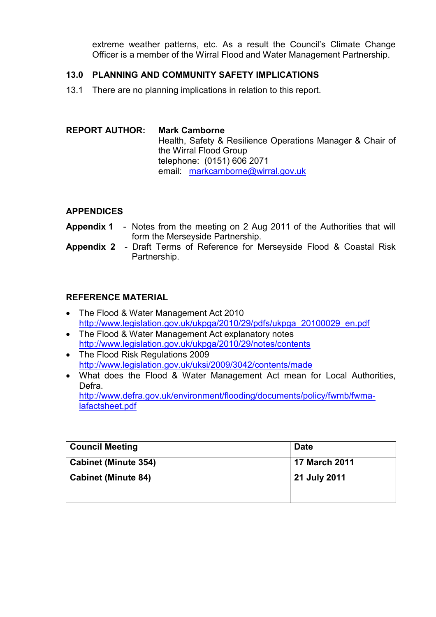extreme weather patterns, etc. As a result the Council's Climate Change Officer is a member of the Wirral Flood and Water Management Partnership.

### **13.0 PLANNING AND COMMUNITY SAFETY IMPLICATIONS**

13.1 There are no planning implications in relation to this report.

#### **REPORT AUTHOR: Mark Camborne** Health, Safety & Resilience Operations Manager & Chair of the Wirral Flood Group telephone: (0151) 606 2071 email: markcamborne@wirral.gov.uk

#### **APPENDICES**

- **Appendix 1**  Notes from the meeting on 2 Aug 2011 of the Authorities that will form the Merseyside Partnership.
- **Appendix 2**  Draft Terms of Reference for Merseyside Flood & Coastal Risk Partnership.

## **REFERENCE MATERIAL**

- The Flood & Water Management Act 2010 http://www.legislation.gov.uk/ukpga/2010/29/pdfs/ukpga\_20100029\_en.pdf
- The Flood & Water Management Act explanatory notes http://www.legislation.gov.uk/ukpga/2010/29/notes/contents
- The Flood Risk Regulations 2009 http://www.legislation.gov.uk/uksi/2009/3042/contents/made
- What does the Flood & Water Management Act mean for Local Authorities, Defra.

http://www.defra.gov.uk/environment/flooding/documents/policy/fwmb/fwmalafactsheet.pdf

| <b>Council Meeting</b>      | <b>Date</b>          |
|-----------------------------|----------------------|
| <b>Cabinet (Minute 354)</b> | <b>17 March 2011</b> |
| <b>Cabinet (Minute 84)</b>  | 21 July 2011         |
|                             |                      |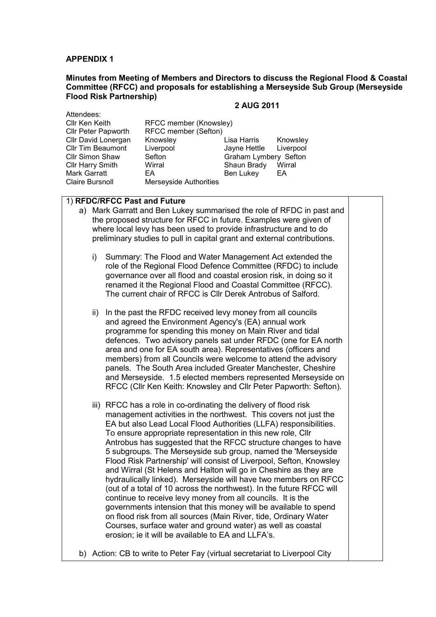#### **APPENDIX 1**

#### **Minutes from Meeting of Members and Directors to discuss the Regional Flood & Coastal Committee (RFCC) and proposals for establishing a Merseyside Sub Group (Merseyside Flood Risk Partnership)**

#### **2 AUG 2011**

Attendees: Cllr Tim Beaumont<br>Cllr Simon Shaw Mark Garratt<br>Claire Bursnoll

Cllr Ken Keith RFCC member (Knowsley) Cllr Peter Papworth RFCC member (Sefton) Cllr David Lonergan Knowsley Lisa Harris Knowsley Sefton Graham Lymbery Sefton Cllr Harry Smith Wirral Mines Shaun Brady Wirral Shaun Brady Wirral Shaun Brady Wirral Shaun Brady Shaun Brady<br>
Mark Garratt Shaun Bahar Shaun Ben Lukev EA **Merseyside Authorities** 

#### 1) **RFDC/RFCC Past and Future**

- a) Mark Garratt and Ben Lukey summarised the role of RFDC in past and the proposed structure for RFCC in future. Examples were given of where local levy has been used to provide infrastructure and to do preliminary studies to pull in capital grant and external contributions.
	- i) Summary: The Flood and Water Management Act extended the role of the Regional Flood Defence Committee (RFDC) to include governance over all flood and coastal erosion risk, in doing so it renamed it the Regional Flood and Coastal Committee (RFCC). The current chair of RFCC is Cllr Derek Antrobus of Salford.
	- ii) In the past the RFDC received levy money from all councils and agreed the Environment Agency's (EA) annual work programme for spending this money on Main River and tidal defences. Two advisory panels sat under RFDC (one for EA north area and one for EA south area). Representatives (officers and members) from all Councils were welcome to attend the advisory panels. The South Area included Greater Manchester, Cheshire and Merseyside. 1.5 elected members represented Merseyside on RFCC (Cllr Ken Keith: Knowsley and Cllr Peter Papworth: Sefton).
	- iii) RFCC has a role in co-ordinating the delivery of flood risk management activities in the northwest. This covers not just the EA but also Lead Local Flood Authorities (LLFA) responsibilities. To ensure appropriate representation in this new role, Cllr Antrobus has suggested that the RFCC structure changes to have 5 subgroups. The Merseyside sub group, named the 'Merseyside Flood Risk Partnership' will consist of Liverpool, Sefton, Knowsley and Wirral (St Helens and Halton will go in Cheshire as they are hydraulically linked). Merseyside will have two members on RFCC (out of a total of 10 across the northwest). In the future RFCC will continue to receive levy money from all councils. It is the governments intension that this money will be available to spend on flood risk from all sources (Main River, tide, Ordinary Water Courses, surface water and ground water) as well as coastal erosion; ie it will be available to EA and LLFA's.
- b) Action: CB to write to Peter Fay (virtual secretariat to Liverpool City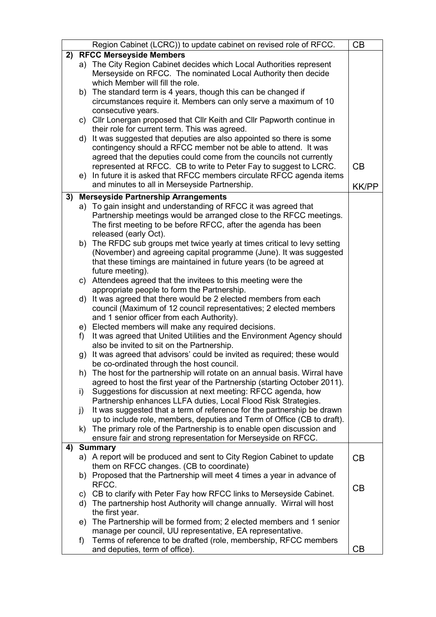|    |              | Region Cabinet (LCRC)) to update cabinet on revised role of RFCC.           | CB           |
|----|--------------|-----------------------------------------------------------------------------|--------------|
|    |              | 2) RFCC Merseyside Members                                                  |              |
|    |              | a) The City Region Cabinet decides which Local Authorities represent        |              |
|    |              | Merseyside on RFCC. The nominated Local Authority then decide               |              |
|    |              | which Member will fill the role.                                            |              |
|    |              | b) The standard term is 4 years, though this can be changed if              |              |
|    |              | circumstances require it. Members can only serve a maximum of 10            |              |
|    |              | consecutive years.                                                          |              |
|    |              | c) Cllr Lonergan proposed that Cllr Keith and Cllr Papworth continue in     |              |
|    |              | their role for current term. This was agreed.                               |              |
|    |              | d) It was suggested that deputies are also appointed so there is some       |              |
|    |              | contingency should a RFCC member not be able to attend. It was              |              |
|    |              | agreed that the deputies could come from the councils not currently         |              |
|    |              | represented at RFCC. CB to write to Peter Fay to suggest to LCRC.           | CB           |
|    |              |                                                                             |              |
|    |              | e) In future it is asked that RFCC members circulate RFCC agenda items      |              |
|    |              | and minutes to all in Merseyside Partnership.                               | <b>KK/PP</b> |
| 3) |              | <b>Merseyside Partnership Arrangements</b>                                  |              |
|    |              | a) To gain insight and understanding of RFCC it was agreed that             |              |
|    |              | Partnership meetings would be arranged close to the RFCC meetings.          |              |
|    |              | The first meeting to be before RFCC, after the agenda has been              |              |
|    |              | released (early Oct).                                                       |              |
|    |              | b) The RFDC sub groups met twice yearly at times critical to levy setting   |              |
|    |              | (November) and agreeing capital programme (June). It was suggested          |              |
|    |              | that these timings are maintained in future years (to be agreed at          |              |
|    |              | future meeting).                                                            |              |
|    |              | c) Attendees agreed that the invitees to this meeting were the              |              |
|    |              | appropriate people to form the Partnership.                                 |              |
|    |              | d) It was agreed that there would be 2 elected members from each            |              |
|    |              |                                                                             |              |
|    |              | council (Maximum of 12 council representatives; 2 elected members           |              |
|    |              | and 1 senior officer from each Authority).                                  |              |
|    |              | e) Elected members will make any required decisions.                        |              |
|    | f)           | It was agreed that United Utilities and the Environment Agency should       |              |
|    |              | also be invited to sit on the Partnership.                                  |              |
|    |              | g) It was agreed that advisors' could be invited as required; these would   |              |
|    |              | be co-ordinated through the host council.                                   |              |
|    |              | h) The host for the partnership will rotate on an annual basis. Wirral have |              |
|    |              | agreed to host the first year of the Partnership (starting October 2011).   |              |
|    | i)           | Suggestions for discussion at next meeting: RFCC agenda, how                |              |
|    |              | Partnership enhances LLFA duties, Local Flood Risk Strategies.              |              |
|    | $\mathbf{j}$ | It was suggested that a term of reference for the partnership be drawn      |              |
|    |              | up to include role, members, deputies and Term of Office (CB to draft).     |              |
|    |              | k) The primary role of the Partnership is to enable open discussion and     |              |
|    |              | ensure fair and strong representation for Merseyside on RFCC.               |              |
| 4) |              | <b>Summary</b>                                                              |              |
|    |              | a) A report will be produced and sent to City Region Cabinet to update      | CB           |
|    |              | them on RFCC changes. (CB to coordinate)                                    |              |
|    |              | b) Proposed that the Partnership will meet 4 times a year in advance of     |              |
|    |              | RFCC.                                                                       |              |
|    |              | c) CB to clarify with Peter Fay how RFCC links to Merseyside Cabinet.       | CB           |
|    |              |                                                                             |              |
|    |              | d) The partnership host Authority will change annually. Wirral will host    |              |
|    |              | the first year.                                                             |              |
|    |              | e) The Partnership will be formed from; 2 elected members and 1 senior      |              |
|    |              | manage per council, UU representative, EA representative.                   |              |
|    | f)           | Terms of reference to be drafted (role, membership, RFCC members            |              |
|    |              | and deputies, term of office).                                              | CВ           |